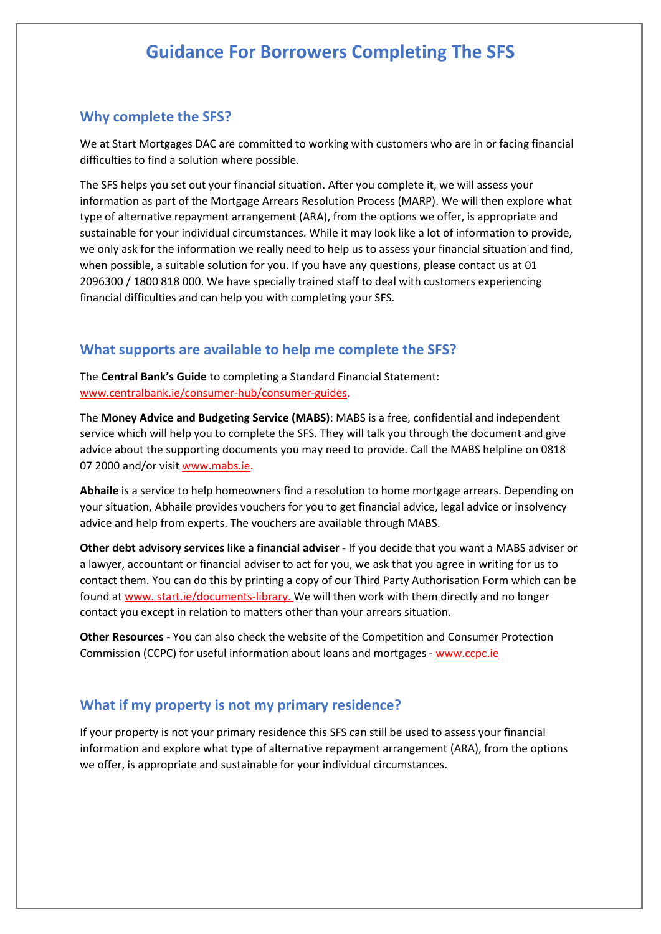#### Why complete the SFS?

We at Start Mortgages DAC are committed to working with customers who are in or facing financial difficulties to find a solution where possible.

The SFS helps you set out your financial situation. After you complete it, we will assess your information as part of the Mortgage Arrears Resolution Process (MARP). We will then explore what type of alternative repayment arrangement (ARA), from the options we offer, is appropriate and sustainable for your individual circumstances. While it may look like a lot of information to provide, we only ask for the information we really need to help us to assess your financial situation and find, when possible, a suitable solution for you. If you have any questions, please contact us at 01 2096300 / 1800 818 000. We have specially trained staff to deal with customers experiencing financial difficulties and can help you with completing your SFS.

#### What supports are available to help me complete the SFS?

The Central Bank's Guide to completing a Standard Financial Statement: www.centralbank.ie/consumer-hub/consumer-guides.

The Money Advice and Budgeting Service (MABS): MABS is a free, confidential and independent service which will help you to complete the SFS. They will talk you through the document and give advice about the supporting documents you may need to provide. Call the MABS helpline on 0818 07 2000 and/or visit www.mabs.ie.

Abhaile is a service to help homeowners find a resolution to home mortgage arrears. Depending on your situation, Abhaile provides vouchers for you to get financial advice, legal advice or insolvency advice and help from experts. The vouchers are available through MABS.

Other debt advisory services like a financial adviser - If you decide that you want a MABS adviser or a lawyer, accountant or financial adviser to act for you, we ask that you agree in writing for us to contact them. You can do this by printing a copy of our Third Party Authorisation Form which can be found at www. start.ie/documents-library. We will then work with them directly and no longer contact you except in relation to matters other than your arrears situation.

Other Resources - You can also check the website of the Competition and Consumer Protection Commission (CCPC) for useful information about loans and mortgages - www.ccpc.ie

#### What if my property is not my primary residence?

If your property is not your primary residence this SFS can still be used to assess your financial information and explore what type of alternative repayment arrangement (ARA), from the options we offer, is appropriate and sustainable for your individual circumstances.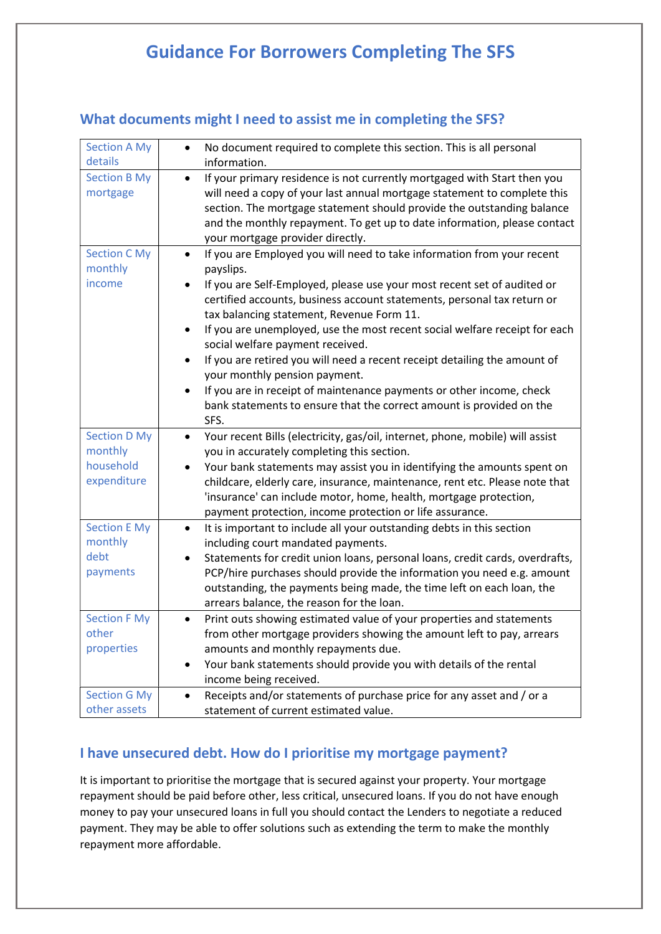| <b>Section A My</b><br>details | No document required to complete this section. This is all personal<br>$\bullet$<br>information. |
|--------------------------------|--------------------------------------------------------------------------------------------------|
| <b>Section B My</b>            | If your primary residence is not currently mortgaged with Start then you<br>$\bullet$            |
| mortgage                       | will need a copy of your last annual mortgage statement to complete this                         |
|                                | section. The mortgage statement should provide the outstanding balance                           |
|                                | and the monthly repayment. To get up to date information, please contact                         |
|                                | your mortgage provider directly.                                                                 |
| <b>Section C My</b>            | If you are Employed you will need to take information from your recent<br>$\bullet$              |
| monthly                        | payslips.                                                                                        |
| income                         | If you are Self-Employed, please use your most recent set of audited or<br>٠                     |
|                                | certified accounts, business account statements, personal tax return or                          |
|                                | tax balancing statement, Revenue Form 11.                                                        |
|                                | If you are unemployed, use the most recent social welfare receipt for each<br>$\bullet$          |
|                                | social welfare payment received.                                                                 |
|                                | If you are retired you will need a recent receipt detailing the amount of<br>٠                   |
|                                | your monthly pension payment.                                                                    |
|                                | If you are in receipt of maintenance payments or other income, check<br>$\bullet$                |
|                                | bank statements to ensure that the correct amount is provided on the                             |
|                                | SFS.                                                                                             |
| <b>Section D My</b>            | Your recent Bills (electricity, gas/oil, internet, phone, mobile) will assist<br>$\bullet$       |
| monthly                        | you in accurately completing this section.                                                       |
| household                      | Your bank statements may assist you in identifying the amounts spent on                          |
| expenditure                    | childcare, elderly care, insurance, maintenance, rent etc. Please note that                      |
|                                | 'insurance' can include motor, home, health, mortgage protection,                                |
|                                | payment protection, income protection or life assurance.                                         |
| <b>Section E My</b>            | It is important to include all your outstanding debts in this section<br>$\bullet$               |
| monthly                        | including court mandated payments.                                                               |
| debt                           | Statements for credit union loans, personal loans, credit cards, overdrafts,<br>٠                |
| payments                       | PCP/hire purchases should provide the information you need e.g. amount                           |
|                                | outstanding, the payments being made, the time left on each loan, the                            |
|                                | arrears balance, the reason for the loan.                                                        |
| <b>Section F My</b>            | Print outs showing estimated value of your properties and statements<br>$\bullet$                |
| other                          | from other mortgage providers showing the amount left to pay, arrears                            |
| properties                     | amounts and monthly repayments due.                                                              |
|                                | Your bank statements should provide you with details of the rental<br>٠                          |
|                                | income being received.                                                                           |
| <b>Section G My</b>            | Receipts and/or statements of purchase price for any asset and / or a<br>$\bullet$               |
| other assets                   | statement of current estimated value.                                                            |

## What documents might I need to assist me in completing the SFS?

### I have unsecured debt. How do I prioritise my mortgage payment?

It is important to prioritise the mortgage that is secured against your property. Your mortgage repayment should be paid before other, less critical, unsecured loans. If you do not have enough money to pay your unsecured loans in full you should contact the Lenders to negotiate a reduced payment. They may be able to offer solutions such as extending the term to make the monthly repayment more affordable.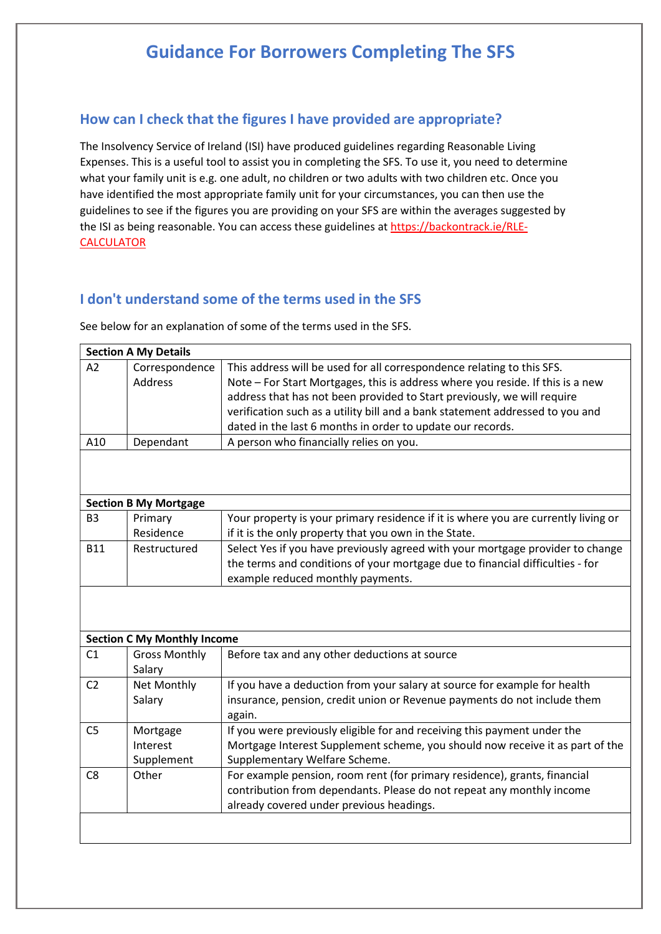#### How can I check that the figures I have provided are appropriate?

The Insolvency Service of Ireland (ISI) have produced guidelines regarding Reasonable Living Expenses. This is a useful tool to assist you in completing the SFS. To use it, you need to determine what your family unit is e.g. one adult, no children or two adults with two children etc. Once you have identified the most appropriate family unit for your circumstances, you can then use the guidelines to see if the figures you are providing on your SFS are within the averages suggested by the ISI as being reasonable. You can access these guidelines at https://backontrack.ie/RLE-CALCULATOR

### I don't understand some of the terms used in the SFS

See below for an explanation of some of the terms used in the SFS.

| <b>Section A My Details</b> |                |                                                                                                                                                           |
|-----------------------------|----------------|-----------------------------------------------------------------------------------------------------------------------------------------------------------|
| A <sub>2</sub>              | Correspondence | This address will be used for all correspondence relating to this SFS.                                                                                    |
|                             | Address        | Note - For Start Mortgages, this is address where you reside. If this is a new<br>address that has not been provided to Start previously, we will require |
|                             |                | verification such as a utility bill and a bank statement addressed to you and                                                                             |
|                             |                | dated in the last 6 months in order to update our records.                                                                                                |
| A10                         | Dependant      | A person who financially relies on you.                                                                                                                   |
|                             |                |                                                                                                                                                           |

| <b>Section B My Mortgage</b> |              |                                                                                    |
|------------------------------|--------------|------------------------------------------------------------------------------------|
| B <sub>3</sub>               | Primary      | Your property is your primary residence if it is where you are currently living or |
|                              | Residence    | if it is the only property that you own in the State.                              |
| <b>B11</b>                   | Restructured | Select Yes if you have previously agreed with your mortgage provider to change     |
|                              |              | the terms and conditions of your mortgage due to financial difficulties - for      |
|                              |              | example reduced monthly payments.                                                  |

| <b>Section C My Monthly Income</b> |                      |                                                                               |
|------------------------------------|----------------------|-------------------------------------------------------------------------------|
| C <sub>1</sub>                     | <b>Gross Monthly</b> | Before tax and any other deductions at source                                 |
|                                    | Salary               |                                                                               |
| C <sub>2</sub>                     | Net Monthly          | If you have a deduction from your salary at source for example for health     |
|                                    | Salary               | insurance, pension, credit union or Revenue payments do not include them      |
|                                    |                      | again.                                                                        |
| C <sub>5</sub>                     | Mortgage             | If you were previously eligible for and receiving this payment under the      |
|                                    | Interest             | Mortgage Interest Supplement scheme, you should now receive it as part of the |
|                                    | Supplement           | Supplementary Welfare Scheme.                                                 |
| C8                                 | Other                | For example pension, room rent (for primary residence), grants, financial     |
|                                    |                      | contribution from dependants. Please do not repeat any monthly income         |
|                                    |                      | already covered under previous headings.                                      |
|                                    |                      |                                                                               |